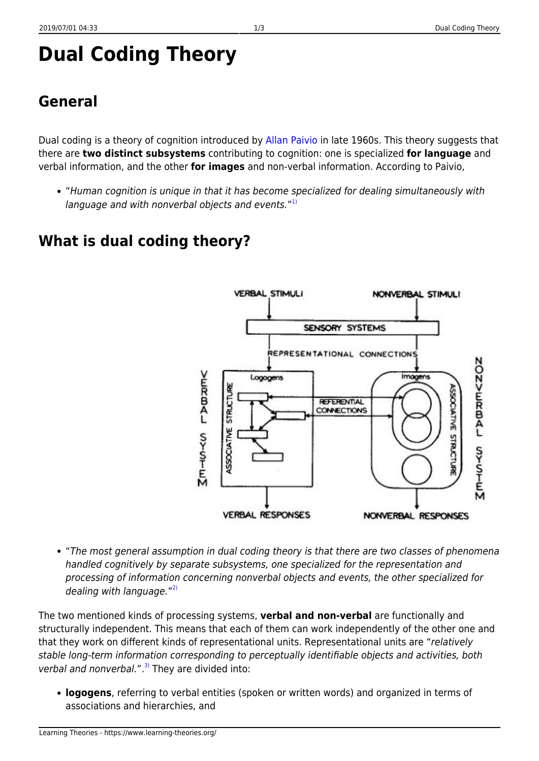# **General**

Dual coding is a theory of cognition introduced by [Allan Paivio](http://en.wikipedia.org/wiki/Allan_Paivio) in late 1960s. This theory suggests that there are **two distinct subsystems** contributing to cognition: one is specialized **for language** and verbal information, and the other **for images** and non-verbal information. According to Paivio,

"Human cognition is unique in that it has become specialized for dealing simultaneously with language and with nonverbal objects and events."<sup>[1\)](#page--1-0)</sup>

# **What is dual coding theory?**



"The most general assumption in dual coding theory is that there are two classes of phenomena handled cognitively by separate subsystems, one specialized for the representation and processing of information concerning nonverbal objects and events, the other specialized for dealing with language."<sup>[2\)](#page--1-0)</sup>

The two mentioned kinds of processing systems, **verbal and non-verbal** are functionally and structurally independent. This means that each of them can work independently of the other one and that they work on different kinds of representational units. Representational units are "relatively stable long-term information corresponding to perceptually identifiable objects and activities, both verbal and nonverbal.". $3)$  They are divided into:

**logogens**, referring to verbal entities (spoken or written words) and organized in terms of associations and hierarchies, and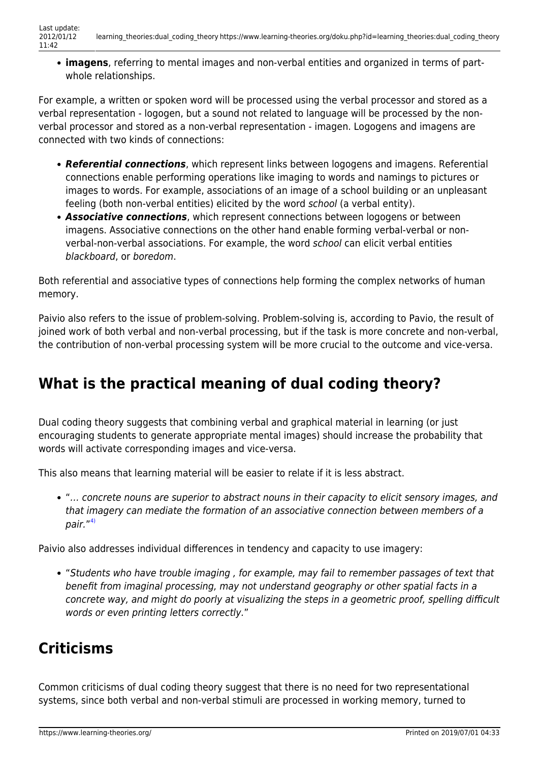**imagens**, referring to mental images and non-verbal entities and organized in terms of partwhole relationships.

For example, a written or spoken word will be processed using the verbal processor and stored as a verbal representation - logogen, but a sound not related to language will be processed by the nonverbal processor and stored as a non-verbal representation - imagen. Logogens and imagens are connected with two kinds of connections:

- *Referential connections*, which represent links between logogens and imagens. Referential connections enable performing operations like imaging to words and namings to pictures or images to words. For example, associations of an image of a school building or an unpleasant feeling (both non-verbal entities) elicited by the word school (a verbal entity).
- *Associative connections*, which represent connections between logogens or between imagens. Associative connections on the other hand enable forming verbal-verbal or nonverbal-non-verbal associations. For example, the word school can elicit verbal entities blackboard, or boredom.

Both referential and associative types of connections help forming the complex networks of human memory.

Paivio also refers to the issue of problem-solving. Problem-solving is, according to Pavio, the result of joined work of both verbal and non-verbal processing, but if the task is more concrete and non-verbal, the contribution of non-verbal processing system will be more crucial to the outcome and vice-versa.

## **What is the practical meaning of dual coding theory?**

Dual coding theory suggests that combining verbal and graphical material in learning (or just encouraging students to generate appropriate mental images) should increase the probability that words will activate corresponding images and vice-versa.

This also means that learning material will be easier to relate if it is less abstract.

"… concrete nouns are superior to abstract nouns in their capacity to elicit sensory images, and that imagery can mediate the formation of an associative connection between members of a pair."<sup>[4\)](#page--1-0)</sup>

Paivio also addresses individual differences in tendency and capacity to use imagery:

"Students who have trouble imaging , for example, may fail to remember passages of text that benefit from imaginal processing, may not understand geography or other spatial facts in a concrete way, and might do poorly at visualizing the steps in a geometric proof, spelling difficult words or even printing letters correctly."

## **Criticisms**

Common criticisms of dual coding theory suggest that there is no need for two representational systems, since both verbal and non-verbal stimuli are processed in working memory, turned to